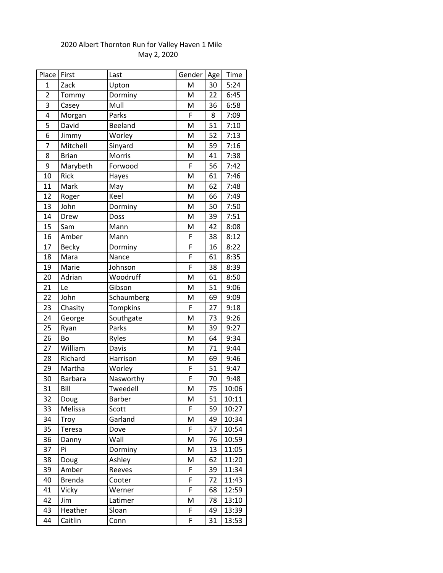| Place          | First          | Last       | Gender | Age | Time  |
|----------------|----------------|------------|--------|-----|-------|
| $\mathbf{1}$   | Zack           | Upton      | M      | 30  | 5:24  |
| $\overline{2}$ | Tommy          | Dorminy    | M      | 22  | 6:45  |
| 3              | Casey          | Mull       | M      | 36  | 6:58  |
| 4              | Morgan         | Parks      | F      | 8   | 7:09  |
| 5              | David          | Beeland    | M      | 51  | 7:10  |
| 6              | Jimmy          | Worley     | M      | 52  | 7:13  |
| 7              | Mitchell       | Sinyard    | M      | 59  | 7:16  |
| 8              | <b>Brian</b>   | Morris     | M      | 41  | 7:38  |
| 9              | Marybeth       | Forwood    | F      | 56  | 7:42  |
| 10             | Rick           | Hayes      | M      | 61  | 7:46  |
| 11             | Mark           | May        | M      | 62  | 7:48  |
| 12             | Roger          | Keel       | M      | 66  | 7:49  |
| 13             | John           | Dorminy    | M      | 50  | 7:50  |
| 14             | Drew           | Doss       | M      | 39  | 7:51  |
| 15             | Sam            | Mann       | M      | 42  | 8:08  |
| 16             | Amber          | Mann       | F      | 38  | 8:12  |
| 17             | <b>Becky</b>   | Dorminy    | F      | 16  | 8:22  |
| 18             | Mara           | Nance      | F      | 61  | 8:35  |
| 19             | Marie          | Johnson    | F      | 38  | 8:39  |
| 20             | Adrian         | Woodruff   | M      | 61  | 8:50  |
| 21             | Le             | Gibson     | M      | 51  | 9:06  |
| 22             | John           | Schaumberg | M      | 69  | 9:09  |
| 23             | Chasity        | Tompkins   | F      | 27  | 9:18  |
| 24             | George         | Southgate  | M      | 73  | 9:26  |
| 25             | Ryan           | Parks      | M      | 39  | 9:27  |
| 26             | Bo             | Ryles      | M      | 64  | 9:34  |
| 27             | William        | Davis      | M      | 71  | 9:44  |
| 28             | Richard        | Harrison   | M      | 69  | 9:46  |
| 29             | Martha         | Worley     | F      | 51  | 9:47  |
| 30             | <b>Barbara</b> | Nasworthy  | F      | 70  | 9:48  |
| 31             | Bill           | Tweedell   | M      | 75  | 10:06 |
| 32             | Doug           | Barber     | M      | 51  | 10:11 |
| 33             | Melissa        | Scott      | F      | 59  | 10:27 |
| 34             | Troy           | Garland    | M      | 49  | 10:34 |
| 35             | Teresa         | Dove       | F      | 57  | 10:54 |
| 36             | Danny          | Wall       | M      | 76  | 10:59 |
| 37             | Pi             | Dorminy    | M      | 13  | 11:05 |
| 38             | Doug           | Ashley     | M      | 62  | 11:20 |
| 39             | Amber          | Reeves     | F      | 39  | 11:34 |
| 40             | <b>Brenda</b>  | Cooter     | F      | 72  | 11:43 |
| 41             | Vicky          | Werner     | F      | 68  | 12:59 |
| 42             | Jim            | Latimer    | M      | 78  | 13:10 |
| 43             | Heather        | Sloan      | F      | 49  | 13:39 |
| 44             | Caitlin        | Conn       | F      | 31  | 13:53 |

## 2020 Albert Thornton Run for Valley Haven 1 Mile May 2, 2020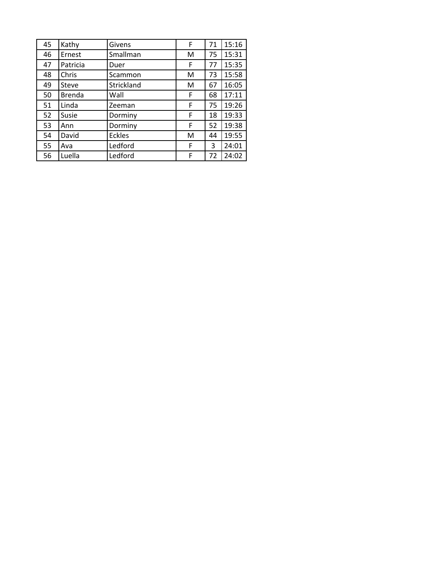| 45 | Kathy         | Givens        | F | 71 | 15:16 |
|----|---------------|---------------|---|----|-------|
| 46 | Ernest        | Smallman      | M | 75 | 15:31 |
| 47 | Patricia      | Duer          | F | 77 | 15:35 |
| 48 | Chris         | Scammon       | M | 73 | 15:58 |
| 49 | <b>Steve</b>  | Strickland    | м | 67 | 16:05 |
| 50 | <b>Brenda</b> | Wall          | F | 68 | 17:11 |
| 51 | Linda         | Zeeman        | F | 75 | 19:26 |
| 52 | Susie         | Dorminy       | F | 18 | 19:33 |
| 53 | Ann           | Dorminy       | F | 52 | 19:38 |
| 54 | David         | <b>Eckles</b> | M | 44 | 19:55 |
| 55 | Ava           | Ledford       | F | 3  | 24:01 |
| 56 | Luella        | Ledford       | F | 72 | 24:02 |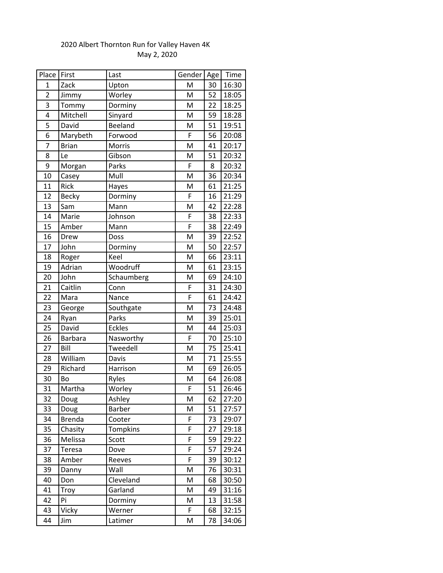## 2020 Albert Thornton Run for Valley Haven 4K May 2, 2020

| Place          | First          | Last          | Gender | Age | Time  |
|----------------|----------------|---------------|--------|-----|-------|
| 1              | Zack           | Upton         | M      | 30  | 16:30 |
| $\overline{c}$ | Jimmy          | Worley        | M      | 52  | 18:05 |
| 3              | Tommy          | Dorminy       | M      | 22  | 18:25 |
| 4              | Mitchell       | Sinyard       | M      | 59  | 18:28 |
| 5              | David          | Beeland       | M      | 51  | 19:51 |
| 6              | Marybeth       | Forwood       | F      | 56  | 20:08 |
| $\overline{7}$ | <b>Brian</b>   | Morris        | M      | 41  | 20:17 |
| 8              | Le             | Gibson        | M      | 51  | 20:32 |
| 9              | Morgan         | Parks         | F      | 8   | 20:32 |
| 10             | Casey          | Mull          | M      | 36  | 20:34 |
| 11             | Rick           | Hayes         | M      | 61  | 21:25 |
| 12             | <b>Becky</b>   | Dorminy       | F      | 16  | 21:29 |
| 13             | Sam            | Mann          | M      | 42  | 22:28 |
| 14             | Marie          | Johnson       | F      | 38  | 22:33 |
| 15             | Amber          | Mann          | F      | 38  | 22:49 |
| 16             | Drew           | Doss          | M      | 39  | 22:52 |
| 17             | John           | Dorminy       | M      | 50  | 22:57 |
| 18             | Roger          | Keel          | M      | 66  | 23:11 |
| 19             | Adrian         | Woodruff      | M      | 61  | 23:15 |
| 20             | John           | Schaumberg    | M      | 69  | 24:10 |
| 21             | Caitlin        | Conn          | F      | 31  | 24:30 |
| 22             | Mara           | Nance         | F      | 61  | 24:42 |
| 23             | George         | Southgate     | M      | 73  | 24:48 |
| 24             | Ryan           | Parks         | M      | 39  | 25:01 |
| 25             | David          | <b>Eckles</b> | M      | 44  | 25:03 |
| 26             | <b>Barbara</b> | Nasworthy     | F      | 70  | 25:10 |
| 27             | Bill           | Tweedell      | M      | 75  | 25:41 |
| 28             | William        | Davis         | M      | 71  | 25:55 |
| 29             | Richard        | Harrison      | M      | 69  | 26:05 |
| 30             | Bo             | Ryles         | M      | 64  | 26:08 |
| 31             | Martha         | Worley        | F      | 51  | 26:46 |
| 32             | Doug           | Ashley        | M      | 62  | 27:20 |
| 33             | Doug           | <b>Barber</b> | M      | 51  | 27:57 |
| 34             | <b>Brenda</b>  | Cooter        | F      | 73  | 29:07 |
| 35             | Chasity        | Tompkins      | F      | 27  | 29:18 |
| 36             | Melissa        | Scott         | F      | 59  | 29:22 |
| 37             | Teresa         | Dove          | F      | 57  | 29:24 |
| 38             | Amber          | Reeves        | F      | 39  | 30:12 |
| 39             | Danny          | Wall          | M      | 76  | 30:31 |
| 40             | Don            | Cleveland     | M      | 68  | 30:50 |
| 41             | Troy           | Garland       | M      | 49  | 31:16 |
| 42             | Pi             | Dorminy       | M      | 13  | 31:58 |
| 43             | Vicky          | Werner        | F      | 68  | 32:15 |
| 44             | Jim            | Latimer       | M      | 78  | 34:06 |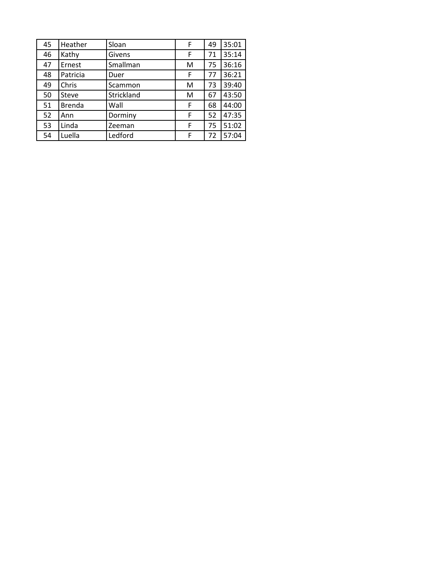| 45 | Heather       | Sloan      | F | 49 | 35:01 |
|----|---------------|------------|---|----|-------|
| 46 | Kathy         | Givens     | F | 71 | 35:14 |
| 47 | Ernest        | Smallman   | M | 75 | 36:16 |
| 48 | Patricia      | Duer       | F | 77 | 36:21 |
| 49 | Chris         | Scammon    | M | 73 | 39:40 |
| 50 | Steve         | Strickland | M | 67 | 43:50 |
| 51 | <b>Brenda</b> | Wall       | F | 68 | 44:00 |
| 52 | Ann           | Dorminy    | F | 52 | 47:35 |
| 53 | Linda         | Zeeman     | F | 75 | 51:02 |
| 54 | Luella        | Ledford    | F | 72 | 57:04 |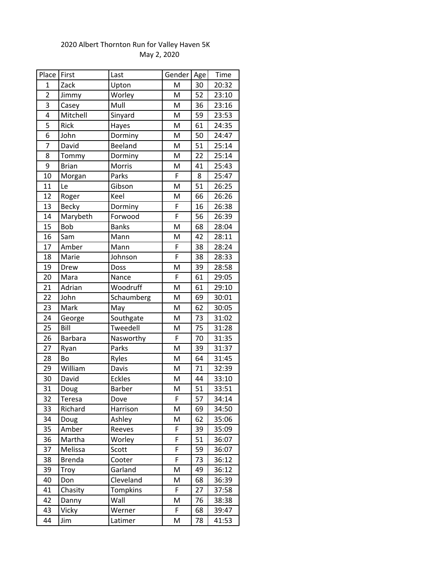| Place First    |                | Last          | Gender         | Age | Time  |
|----------------|----------------|---------------|----------------|-----|-------|
| 1              | Zack           | Upton         | M              | 30  | 20:32 |
| $\overline{2}$ | Jimmy          | Worley        | M              | 52  | 23:10 |
| 3              | Casey          | Mull          | M              | 36  | 23:16 |
| 4              | Mitchell       | Sinyard       | M              | 59  | 23:53 |
| $\overline{5}$ | Rick           | Hayes         | M              | 61  | 24:35 |
| 6              | John           | Dorminy       | M              | 50  | 24:47 |
| $\overline{7}$ | David          | Beeland       | M              | 51  | 25:14 |
| 8              | Tommy          | Dorminy       | M              | 22  | 25:14 |
| 9              | <b>Brian</b>   | Morris        | M              | 41  | 25:43 |
| 10             | Morgan         | Parks         | F              | 8   | 25:47 |
| 11             | Le             | Gibson        | M              | 51  | 26:25 |
| 12             | Roger          | Keel          | M              | 66  | 26:26 |
| 13             | Becky          | Dorminy       | F              | 16  | 26:38 |
| 14             | Marybeth       | Forwood       | $\overline{F}$ | 56  | 26:39 |
| 15             | Bob            | <b>Banks</b>  | M              | 68  | 28:04 |
| 16             | Sam            | Mann          | M              | 42  | 28:11 |
| 17             | Amber          | Mann          | $\overline{F}$ | 38  | 28:24 |
| 18             | Marie          | Johnson       | F              | 38  | 28:33 |
| 19             | Drew           | Doss          | M              | 39  | 28:58 |
| 20             | Mara           | Nance         | F              | 61  | 29:05 |
| 21             | Adrian         | Woodruff      | M              | 61  | 29:10 |
| 22             | John           | Schaumberg    | M              | 69  | 30:01 |
| 23             | Mark           | May           | M              | 62  | 30:05 |
| 24             | George         | Southgate     | M              | 73  | 31:02 |
| 25             | Bill           | Tweedell      | M              | 75  | 31:28 |
| 26             | <b>Barbara</b> | Nasworthy     | $\overline{F}$ | 70  | 31:35 |
| 27             | Ryan           | Parks         | M              | 39  | 31:37 |
| 28             | Bo             | Ryles         | M              | 64  | 31:45 |
| 29             | William        | Davis         | M              | 71  | 32:39 |
| 30             | David          | <b>Eckles</b> | M              | 44  | 33:10 |
| 31             | Doug           | Barber        | M              | 51  | 33:51 |
| 32             | <b>Teresa</b>  | Dove          | F              | 57  | 34:14 |
| 33             | Richard        | Harrison      | M              | 69  | 34:50 |
| 34             | Doug           | Ashley        | M              | 62  | 35:06 |
| 35             | Amber          | Reeves        | F              | 39  | 35:09 |
| 36             | Martha         | Worley        | F              | 51  | 36:07 |
| 37             | Melissa        | Scott         | F              | 59  | 36:07 |
| 38             | <b>Brenda</b>  | Cooter        | F              | 73  | 36:12 |
| 39             | Troy           | Garland       | M              | 49  | 36:12 |
| 40             | Don            | Cleveland     | M              | 68  | 36:39 |
| 41             | Chasity        | Tompkins      | F              | 27  | 37:58 |
| 42             | Danny          | Wall          | M              | 76  | 38:38 |
| 43             | Vicky          | Werner        | F              | 68  | 39:47 |
| 44             | Jim            | Latimer       | M              | 78  | 41:53 |

## 2020 Albert Thornton Run for Valley Haven 5K May 2, 2020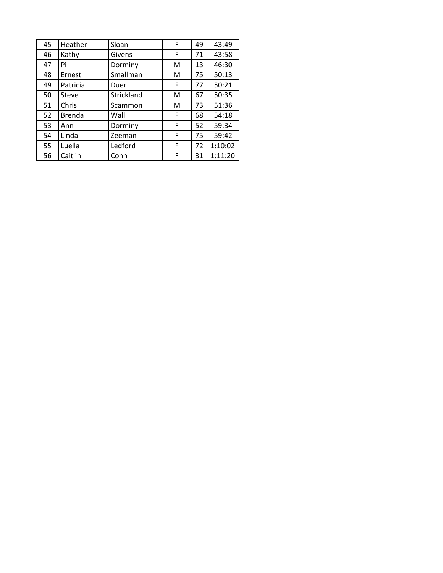| 45 | Heather       | Sloan      | F | 49 | 43:49   |
|----|---------------|------------|---|----|---------|
| 46 | Kathy         | Givens     | F | 71 | 43:58   |
| 47 | Pi            | Dorminy    | М | 13 | 46:30   |
| 48 | Ernest        | Smallman   | M | 75 | 50:13   |
| 49 | Patricia      | Duer       | F | 77 | 50:21   |
| 50 | Steve         | Strickland | М | 67 | 50:35   |
| 51 | Chris         | Scammon    | M | 73 | 51:36   |
| 52 | <b>Brenda</b> | Wall       | F | 68 | 54:18   |
| 53 | Ann           | Dorminy    | F | 52 | 59:34   |
| 54 | Linda         | Zeeman     | F | 75 | 59:42   |
| 55 | Luella        | Ledford    | F | 72 | 1:10:02 |
| 56 | Caitlin       | Conn       | F | 31 | 1:11:20 |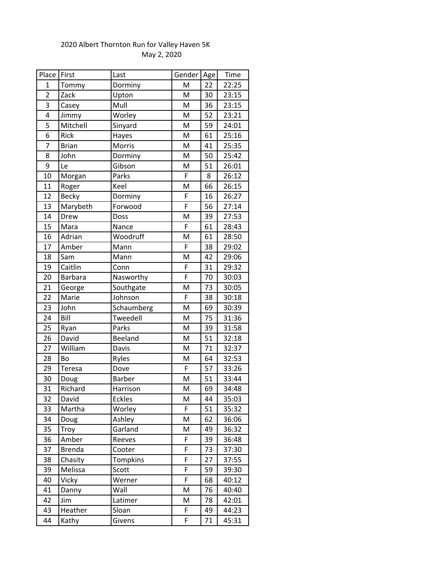| Place          | First          | Last          | Gender | Age | Time  |
|----------------|----------------|---------------|--------|-----|-------|
| $\mathbf{1}$   | Tommy          | Dorminy       | M      | 22  | 22:25 |
| $\overline{2}$ | Zack           | Upton         | M      | 30  | 23:15 |
| 3              | Casey          | Mull          | M      | 36  | 23:15 |
| 4              | Jimmy          | Worley        | M      | 52  | 23:21 |
| 5              | Mitchell       | Sinyard       | M      | 59  | 24:01 |
| 6              | Rick           | Hayes         | M      | 61  | 25:16 |
| $\overline{7}$ | <b>Brian</b>   | Morris        | M      | 41  | 25:35 |
| 8              | John           | Dorminy       | M      | 50  | 25:42 |
| 9              | Le             | Gibson        | M      | 51  | 26:01 |
| 10             | Morgan         | Parks         | F      | 8   | 26:12 |
| 11             | Roger          | Keel          | M      | 66  | 26:15 |
| 12             | Becky          | Dorminy       | F      | 16  | 26:27 |
| 13             | Marybeth       | Forwood       | F      | 56  | 27:14 |
| 14             | Drew           | Doss          | M      | 39  | 27:53 |
| 15             | Mara           | Nance         | F      | 61  | 28:43 |
| 16             | Adrian         | Woodruff      | M      | 61  | 28:50 |
| 17             | Amber          | Mann          | F      | 38  | 29:02 |
| 18             | Sam            | Mann          | M      | 42  | 29:06 |
| 19             | Caitlin        | Conn          | F      | 31  | 29:32 |
| 20             | <b>Barbara</b> | Nasworthy     | F      | 70  | 30:03 |
| 21             | George         | Southgate     | M      | 73  | 30:05 |
| 22             | Marie          | Johnson       | F      | 38  | 30:18 |
| 23             | John           | Schaumberg    | M      | 69  | 30:39 |
| 24             | Bill           | Tweedell      | M      | 75  | 31:36 |
| 25             | Ryan           | Parks         | M      | 39  | 31:58 |
| 26             | David          | Beeland       | M      | 51  | 32:18 |
| 27             | William        | Davis         | M      | 71  | 32:37 |
| 28             | Bo             | Ryles         | M      | 64  | 32:53 |
| 29             | Teresa         | Dove          | F      | 57  | 33:26 |
| 30             | Doug           | <b>Barber</b> | M      | 51  | 33:44 |
| 31             | Richard        | Harrison      | M      | 69  | 34:48 |
| 32             | David          | <b>Eckles</b> | M      | 44  | 35:03 |
| 33             | Martha         | Worley        | F      | 51  | 35:32 |
| 34             | Doug           | Ashley        | M      | 62  | 36:06 |
| 35             | Troy           | Garland       | M      | 49  | 36:32 |
| 36             | Amber          | Reeves        | F      | 39  | 36:48 |
| 37             | <b>Brenda</b>  | Cooter        | F      | 73  | 37:30 |
| 38             | Chasity        | Tompkins      | F      | 27  | 37:55 |
| 39             | Melissa        | Scott         | F      | 59  | 39:30 |
| 40             | Vicky          | Werner        | F      | 68  | 40:12 |
| 41             | Danny          | Wall          | M      | 76  | 40:40 |
| 42             | Jim            | Latimer       | M      | 78  | 42:01 |
| 43             | Heather        | Sloan         | F      | 49  | 44:23 |
| 44             | Kathy          | Givens        | F      | 71  | 45:31 |

## 2020 Albert Thornton Run for Valley Haven 5K May 2, 2020